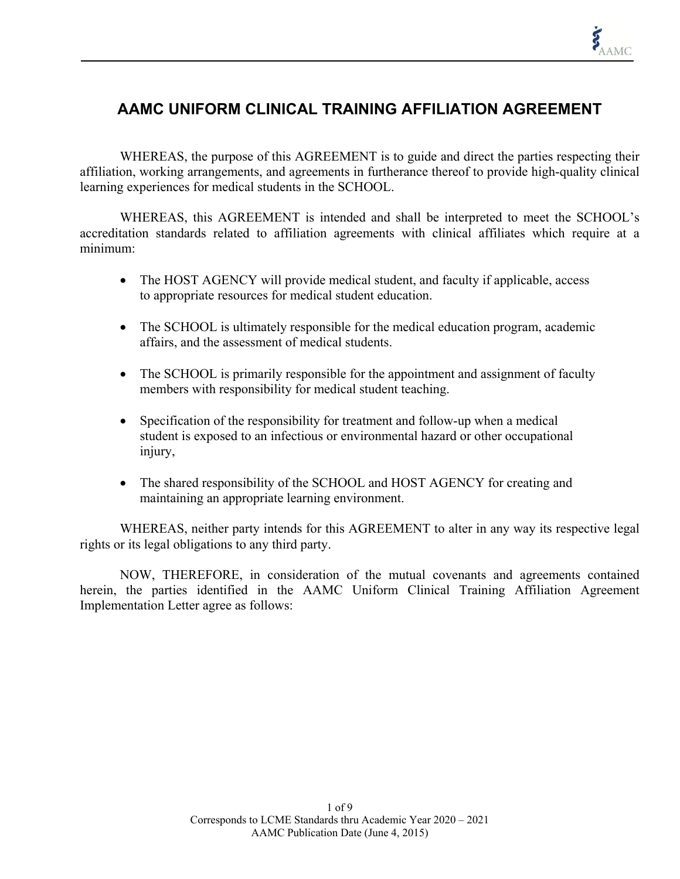# **AAMC UNIFORM CLINICAL TRAINING AFFILIATION AGREEMENT**

WHEREAS, the purpose of this AGREEMENT is to guide and direct the parties respecting their affiliation, working arrangements, and agreements in furtherance thereof to provide high-quality clinical learning experiences for medical students in the SCHOOL.

WHEREAS, this AGREEMENT is intended and shall be interpreted to meet the SCHOOL's accreditation standards related to affiliation agreements with clinical affiliates which require at a minimum:

- The HOST AGENCY will provide medical student, and faculty if applicable, access to appropriate resources for medical student education.
- The SCHOOL is ultimately responsible for the medical education program, academic affairs, and the assessment of medical students.
- The SCHOOL is primarily responsible for the appointment and assignment of faculty members with responsibility for medical student teaching.
- Specification of the responsibility for treatment and follow-up when a medical student is exposed to an infectious or environmental hazard or other occupational injury,
- The shared responsibility of the SCHOOL and HOST AGENCY for creating and maintaining an appropriate learning environment.

WHEREAS, neither party intends for this AGREEMENT to alter in any way its respective legal rights or its legal obligations to any third party.

NOW, THEREFORE, in consideration of the mutual covenants and agreements contained herein, the parties identified in the AAMC Uniform Clinical Training Affiliation Agreement Implementation Letter agree as follows: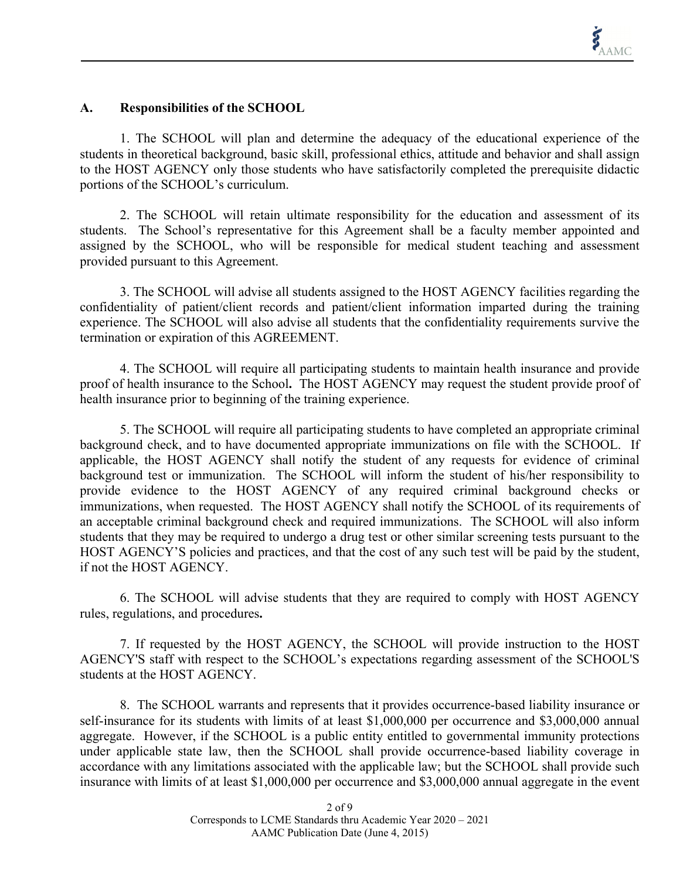#### **A. Responsibilities of the SCHOOL**

1. The SCHOOL will plan and determine the adequacy of the educational experience of the students in theoretical background, basic skill, professional ethics, attitude and behavior and shall assign to the HOST AGENCY only those students who have satisfactorily completed the prerequisite didactic portions of the SCHOOL's curriculum.

2. The SCHOOL will retain ultimate responsibility for the education and assessment of its students. The School's representative for this Agreement shall be a faculty member appointed and assigned by the SCHOOL, who will be responsible for medical student teaching and assessment provided pursuant to this Agreement.

3. The SCHOOL will advise all students assigned to the HOST AGENCY facilities regarding the confidentiality of patient/client records and patient/client information imparted during the training experience. The SCHOOL will also advise all students that the confidentiality requirements survive the termination or expiration of this AGREEMENT.

4. The SCHOOL will require all participating students to maintain health insurance and provide proof of health insurance to the School**.** The HOST AGENCY may request the student provide proof of health insurance prior to beginning of the training experience.

5. The SCHOOL will require all participating students to have completed an appropriate criminal background check, and to have documented appropriate immunizations on file with the SCHOOL. If applicable, the HOST AGENCY shall notify the student of any requests for evidence of criminal background test or immunization. The SCHOOL will inform the student of his/her responsibility to provide evidence to the HOST AGENCY of any required criminal background checks or immunizations, when requested. The HOST AGENCY shall notify the SCHOOL of its requirements of an acceptable criminal background check and required immunizations. The SCHOOL will also inform students that they may be required to undergo a drug test or other similar screening tests pursuant to the HOST AGENCY'S policies and practices, and that the cost of any such test will be paid by the student, if not the HOST AGENCY.

6. The SCHOOL will advise students that they are required to comply with HOST AGENCY rules, regulations, and procedures**.** 

7. If requested by the HOST AGENCY, the SCHOOL will provide instruction to the HOST AGENCY'S staff with respect to the SCHOOL's expectations regarding assessment of the SCHOOL'S students at the HOST AGENCY.

8. The SCHOOL warrants and represents that it provides occurrence-based liability insurance or self-insurance for its students with limits of at least \$1,000,000 per occurrence and \$3,000,000 annual aggregate. However, if the SCHOOL is a public entity entitled to governmental immunity protections under applicable state law, then the SCHOOL shall provide occurrence-based liability coverage in accordance with any limitations associated with the applicable law; but the SCHOOL shall provide such insurance with limits of at least \$1,000,000 per occurrence and \$3,000,000 annual aggregate in the event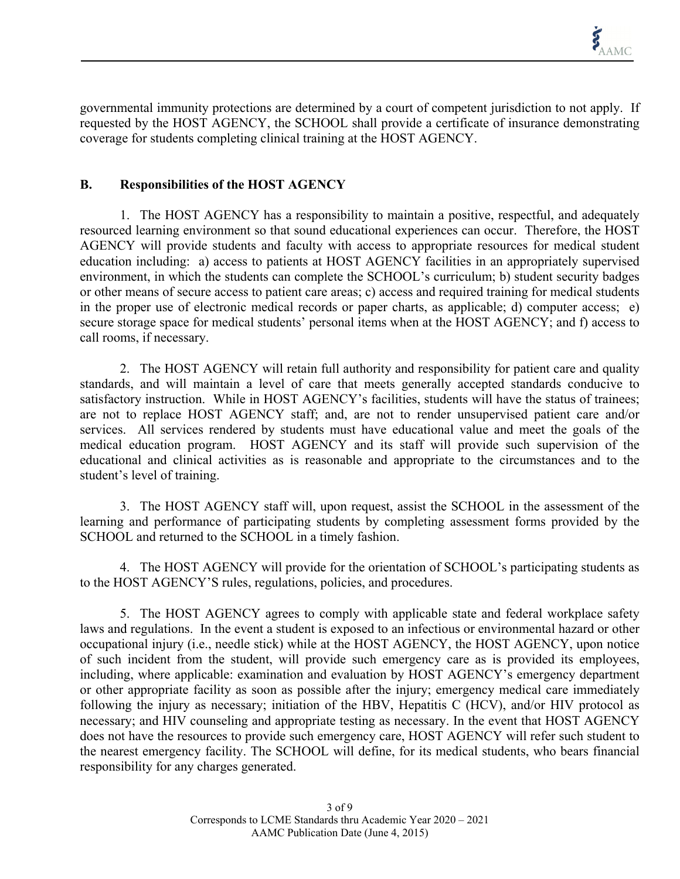governmental immunity protections are determined by a court of competent jurisdiction to not apply. If requested by the HOST AGENCY, the SCHOOL shall provide a certificate of insurance demonstrating coverage for students completing clinical training at the HOST AGENCY.

## **B. Responsibilities of the HOST AGENCY**

1. The HOST AGENCY has a responsibility to maintain a positive, respectful, and adequately resourced learning environment so that sound educational experiences can occur. Therefore, the HOST AGENCY will provide students and faculty with access to appropriate resources for medical student education including: a) access to patients at HOST AGENCY facilities in an appropriately supervised environment, in which the students can complete the SCHOOL's curriculum; b) student security badges or other means of secure access to patient care areas; c) access and required training for medical students in the proper use of electronic medical records or paper charts, as applicable; d) computer access; e) secure storage space for medical students' personal items when at the HOST AGENCY; and f) access to call rooms, if necessary.

2. The HOST AGENCY will retain full authority and responsibility for patient care and quality standards, and will maintain a level of care that meets generally accepted standards conducive to satisfactory instruction. While in HOST AGENCY's facilities, students will have the status of trainees; are not to replace HOST AGENCY staff; and, are not to render unsupervised patient care and/or services. All services rendered by students must have educational value and meet the goals of the medical education program. HOST AGENCY and its staff will provide such supervision of the educational and clinical activities as is reasonable and appropriate to the circumstances and to the student's level of training.

3. The HOST AGENCY staff will, upon request, assist the SCHOOL in the assessment of the learning and performance of participating students by completing assessment forms provided by the SCHOOL and returned to the SCHOOL in a timely fashion.

4. The HOST AGENCY will provide for the orientation of SCHOOL's participating students as to the HOST AGENCY'S rules, regulations, policies, and procedures.

5. The HOST AGENCY agrees to comply with applicable state and federal workplace safety laws and regulations. In the event a student is exposed to an infectious or environmental hazard or other occupational injury (i.e., needle stick) while at the HOST AGENCY, the HOST AGENCY, upon notice of such incident from the student, will provide such emergency care as is provided its employees, including, where applicable: examination and evaluation by HOST AGENCY's emergency department or other appropriate facility as soon as possible after the injury; emergency medical care immediately following the injury as necessary; initiation of the HBV, Hepatitis C (HCV), and/or HIV protocol as necessary; and HIV counseling and appropriate testing as necessary. In the event that HOST AGENCY does not have the resources to provide such emergency care, HOST AGENCY will refer such student to the nearest emergency facility. The SCHOOL will define, for its medical students, who bears financial responsibility for any charges generated.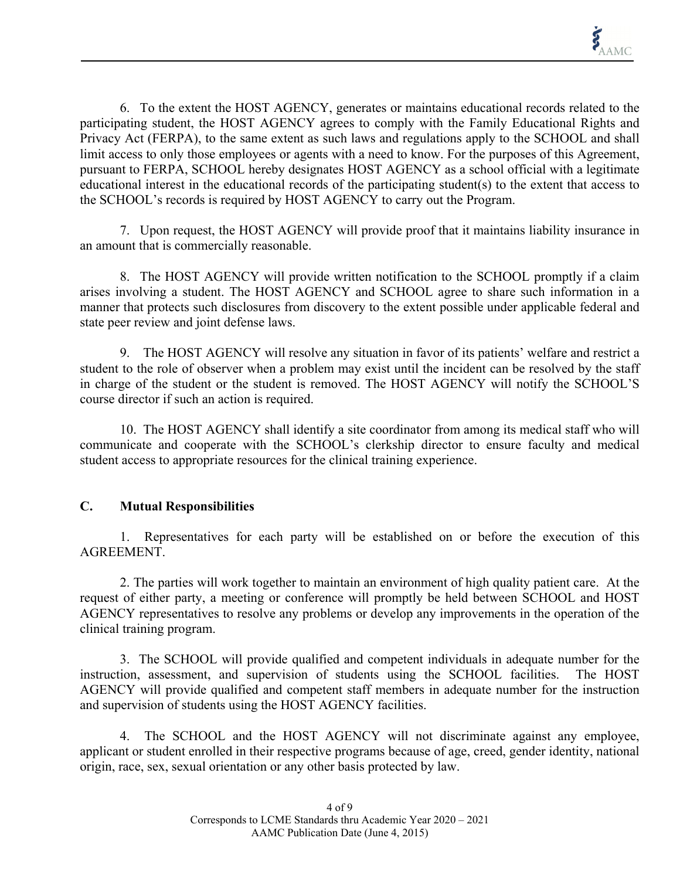6. To the extent the HOST AGENCY, generates or maintains educational records related to the participating student, the HOST AGENCY agrees to comply with the Family Educational Rights and Privacy Act (FERPA), to the same extent as such laws and regulations apply to the SCHOOL and shall limit access to only those employees or agents with a need to know. For the purposes of this Agreement, pursuant to FERPA, SCHOOL hereby designates HOST AGENCY as a school official with a legitimate educational interest in the educational records of the participating student(s) to the extent that access to the SCHOOL's records is required by HOST AGENCY to carry out the Program.

7. Upon request, the HOST AGENCY will provide proof that it maintains liability insurance in an amount that is commercially reasonable.

8. The HOST AGENCY will provide written notification to the SCHOOL promptly if a claim arises involving a student. The HOST AGENCY and SCHOOL agree to share such information in a manner that protects such disclosures from discovery to the extent possible under applicable federal and state peer review and joint defense laws.

9. The HOST AGENCY will resolve any situation in favor of its patients' welfare and restrict a student to the role of observer when a problem may exist until the incident can be resolved by the staff in charge of the student or the student is removed. The HOST AGENCY will notify the SCHOOL'S course director if such an action is required.

10. The HOST AGENCY shall identify a site coordinator from among its medical staff who will communicate and cooperate with the SCHOOL's clerkship director to ensure faculty and medical student access to appropriate resources for the clinical training experience.

# **C. Mutual Responsibilities**

1. Representatives for each party will be established on or before the execution of this AGREEMENT.

2. The parties will work together to maintain an environment of high quality patient care. At the request of either party, a meeting or conference will promptly be held between SCHOOL and HOST AGENCY representatives to resolve any problems or develop any improvements in the operation of the clinical training program.

3. The SCHOOL will provide qualified and competent individuals in adequate number for the instruction, assessment, and supervision of students using the SCHOOL facilities. The HOST AGENCY will provide qualified and competent staff members in adequate number for the instruction and supervision of students using the HOST AGENCY facilities.

4. The SCHOOL and the HOST AGENCY will not discriminate against any employee, applicant or student enrolled in their respective programs because of age, creed, gender identity, national origin, race, sex, sexual orientation or any other basis protected by law.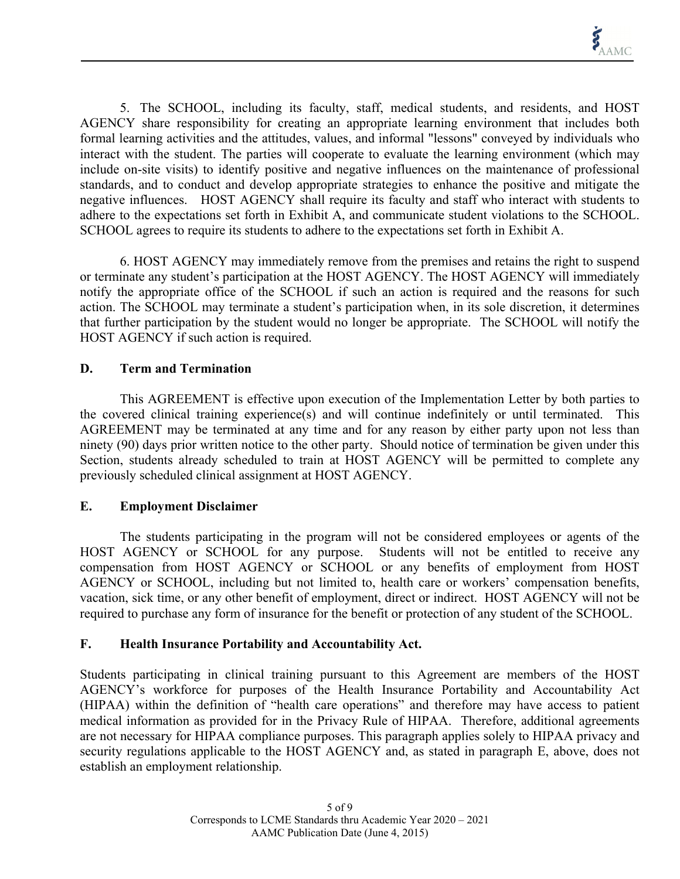5. The SCHOOL, including its faculty, staff, medical students, and residents, and HOST AGENCY share responsibility for creating an appropriate learning environment that includes both formal learning activities and the attitudes, values, and informal "lessons" conveyed by individuals who interact with the student. The parties will cooperate to evaluate the learning environment (which may include on-site visits) to identify positive and negative influences on the maintenance of professional standards, and to conduct and develop appropriate strategies to enhance the positive and mitigate the negative influences. HOST AGENCY shall require its faculty and staff who interact with students to adhere to the expectations set forth in Exhibit A, and communicate student violations to the SCHOOL. SCHOOL agrees to require its students to adhere to the expectations set forth in Exhibit A.

6. HOST AGENCY may immediately remove from the premises and retains the right to suspend or terminate any student's participation at the HOST AGENCY. The HOST AGENCY will immediately notify the appropriate office of the SCHOOL if such an action is required and the reasons for such action. The SCHOOL may terminate a student's participation when, in its sole discretion, it determines that further participation by the student would no longer be appropriate. The SCHOOL will notify the HOST AGENCY if such action is required.

#### **D. Term and Termination**

This AGREEMENT is effective upon execution of the Implementation Letter by both parties to the covered clinical training experience(s) and will continue indefinitely or until terminated. This AGREEMENT may be terminated at any time and for any reason by either party upon not less than ninety (90) days prior written notice to the other party. Should notice of termination be given under this Section, students already scheduled to train at HOST AGENCY will be permitted to complete any previously scheduled clinical assignment at HOST AGENCY.

#### **E. Employment Disclaimer**

The students participating in the program will not be considered employees or agents of the HOST AGENCY or SCHOOL for any purpose. Students will not be entitled to receive any compensation from HOST AGENCY or SCHOOL or any benefits of employment from HOST AGENCY or SCHOOL, including but not limited to, health care or workers' compensation benefits, vacation, sick time, or any other benefit of employment, direct or indirect. HOST AGENCY will not be required to purchase any form of insurance for the benefit or protection of any student of the SCHOOL.

#### **F. Health Insurance Portability and Accountability Act.**

Students participating in clinical training pursuant to this Agreement are members of the HOST AGENCY's workforce for purposes of the Health Insurance Portability and Accountability Act (HIPAA) within the definition of "health care operations" and therefore may have access to patient medical information as provided for in the Privacy Rule of HIPAA. Therefore, additional agreements are not necessary for HIPAA compliance purposes. This paragraph applies solely to HIPAA privacy and security regulations applicable to the HOST AGENCY and, as stated in paragraph E, above, does not establish an employment relationship.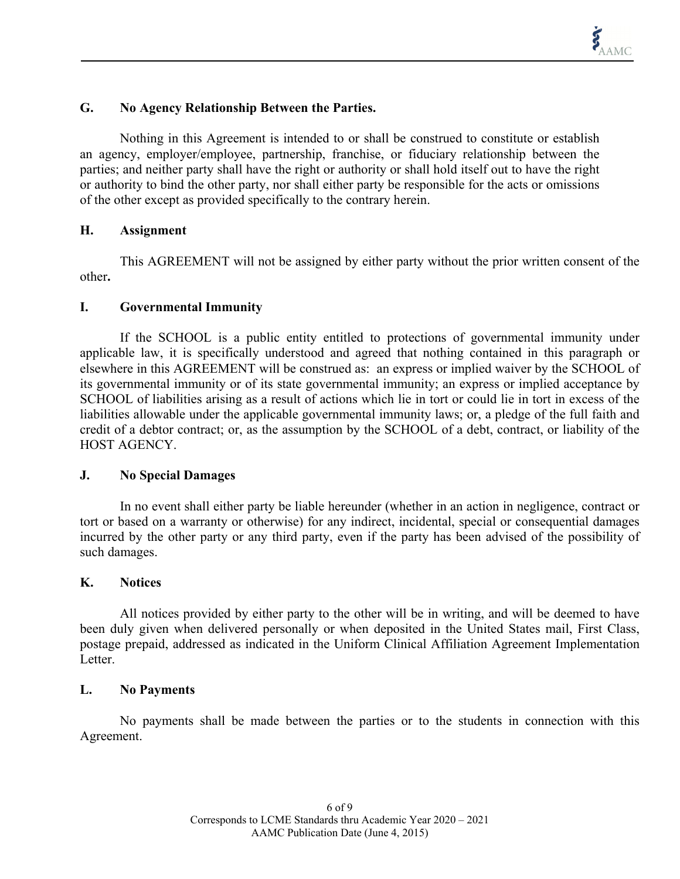### **G. No Agency Relationship Between the Parties.**

Nothing in this Agreement is intended to or shall be construed to constitute or establish an agency, employer/employee, partnership, franchise, or fiduciary relationship between the parties; and neither party shall have the right or authority or shall hold itself out to have the right or authority to bind the other party, nor shall either party be responsible for the acts or omissions of the other except as provided specifically to the contrary herein.

#### **H. Assignment**

This AGREEMENT will not be assigned by either party without the prior written consent of the other**.** 

#### **I. Governmental Immunity**

If the SCHOOL is a public entity entitled to protections of governmental immunity under applicable law, it is specifically understood and agreed that nothing contained in this paragraph or elsewhere in this AGREEMENT will be construed as: an express or implied waiver by the SCHOOL of its governmental immunity or of its state governmental immunity; an express or implied acceptance by SCHOOL of liabilities arising as a result of actions which lie in tort or could lie in tort in excess of the liabilities allowable under the applicable governmental immunity laws; or, a pledge of the full faith and credit of a debtor contract; or, as the assumption by the SCHOOL of a debt, contract, or liability of the HOST AGENCY.

#### **J. No Special Damages**

In no event shall either party be liable hereunder (whether in an action in negligence, contract or tort or based on a warranty or otherwise) for any indirect, incidental, special or consequential damages incurred by the other party or any third party, even if the party has been advised of the possibility of such damages.

#### **K. Notices**

All notices provided by either party to the other will be in writing, and will be deemed to have been duly given when delivered personally or when deposited in the United States mail, First Class, postage prepaid, addressed as indicated in the Uniform Clinical Affiliation Agreement Implementation Letter.

#### **L. No Payments**

No payments shall be made between the parties or to the students in connection with this Agreement.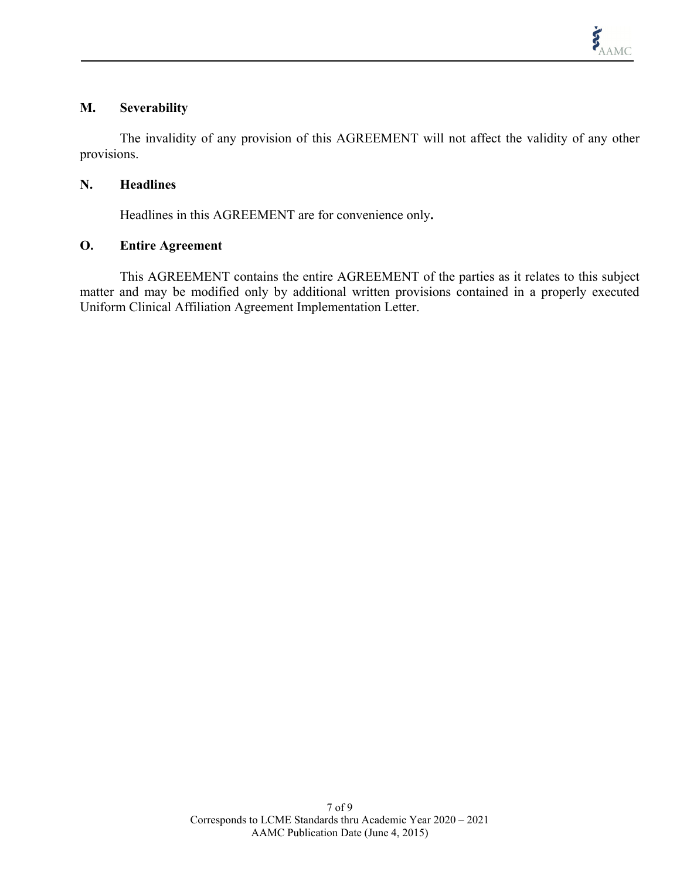#### **M. Severability**

The invalidity of any provision of this AGREEMENT will not affect the validity of any other provisions.

#### **N. Headlines**

Headlines in this AGREEMENT are for convenience only**.** 

## **O. Entire Agreement**

This AGREEMENT contains the entire AGREEMENT of the parties as it relates to this subject matter and may be modified only by additional written provisions contained in a properly executed Uniform Clinical Affiliation Agreement Implementation Letter.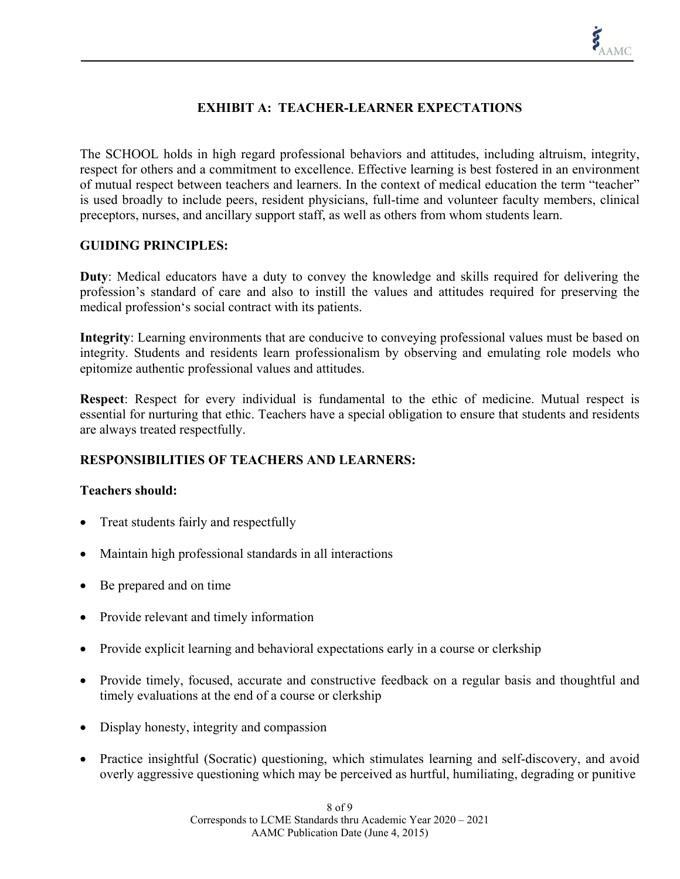# **EXHIBIT A: TEACHER-LEARNER EXPECTATIONS**

The SCHOOL holds in high regard professional behaviors and attitudes, including altruism, integrity, respect for others and a commitment to excellence. Effective learning is best fostered in an environment of mutual respect between teachers and learners. In the context of medical education the term "teacher" is used broadly to include peers, resident physicians, full-time and volunteer faculty members, clinical preceptors, nurses, and ancillary support staff, as well as others from whom students learn.

#### **GUIDING PRINCIPLES:**

**Duty**: Medical educators have a duty to convey the knowledge and skills required for delivering the profession's standard of care and also to instill the values and attitudes required for preserving the medical profession's social contract with its patients.

**Integrity**: Learning environments that are conducive to conveying professional values must be based on integrity. Students and residents learn professionalism by observing and emulating role models who epitomize authentic professional values and attitudes.

**Respect**: Respect for every individual is fundamental to the ethic of medicine. Mutual respect is essential for nurturing that ethic. Teachers have a special obligation to ensure that students and residents are always treated respectfully.

#### **RESPONSIBILITIES OF TEACHERS AND LEARNERS:**

#### **Teachers should:**

- Treat students fairly and respectfully
- Maintain high professional standards in all interactions
- Be prepared and on time
- Provide relevant and timely information
- Provide explicit learning and behavioral expectations early in a course or clerkship
- Provide timely, focused, accurate and constructive feedback on a regular basis and thoughtful and timely evaluations at the end of a course or clerkship
- Display honesty, integrity and compassion
- Practice insightful (Socratic) questioning, which stimulates learning and self-discovery, and avoid overly aggressive questioning which may be perceived as hurtful, humiliating, degrading or punitive